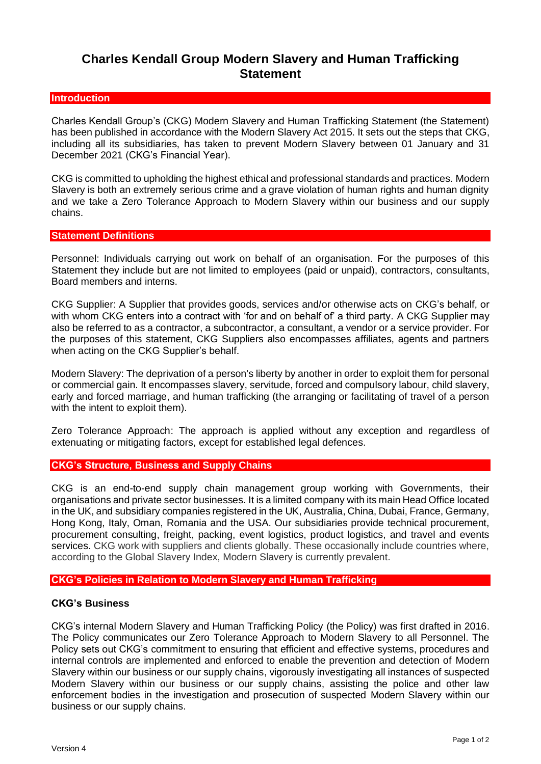# **Charles Kendall Group Modern Slavery and Human Trafficking Statement**

## **Introduction**

Charles Kendall Group's (CKG) Modern Slavery and Human Trafficking Statement (the Statement) has been published in accordance with the Modern Slavery Act 2015. It sets out the steps that CKG, including all its subsidiaries, has taken to prevent Modern Slavery between 01 January and 31 December 2021 (CKG's Financial Year).

CKG is committed to upholding the highest ethical and professional standards and practices. Modern Slavery is both an extremely serious crime and a grave violation of human rights and human dignity and we take a Zero Tolerance Approach to Modern Slavery within our business and our supply chains.

## **Statement Definitions**

Personnel: Individuals carrying out work on behalf of an organisation. For the purposes of this Statement they include but are not limited to employees (paid or unpaid), contractors, consultants, Board members and interns.

CKG Supplier: A Supplier that provides goods, services and/or otherwise acts on CKG's behalf, or with whom CKG enters into a contract with 'for and on behalf of' a third party. A CKG Supplier may also be referred to as a contractor, a subcontractor, a consultant, a vendor or a service provider. For the purposes of this statement, CKG Suppliers also encompasses affiliates, agents and partners when acting on the CKG Supplier's behalf.

Modern Slavery: The deprivation of a person's liberty by another in order to exploit them for personal or commercial gain. It encompasses slavery, servitude, forced and compulsory labour, child slavery, early and forced marriage, and human trafficking (the arranging or facilitating of travel of a person with the intent to exploit them).

Zero Tolerance Approach: The approach is applied without any exception and regardless of extenuating or mitigating factors, except for established legal defences.

## **CKG's Structure, Business and Supply Chains**

CKG is an end-to-end supply chain management group working with Governments, their organisations and private sector businesses. It is a limited company with its main Head Office located in the UK, and subsidiary companies registered in the UK, Australia, China, Dubai, France, Germany, Hong Kong, Italy, Oman, Romania and the USA. Our subsidiaries provide technical procurement, procurement consulting, freight, packing, event logistics, product logistics, and travel and events services. CKG work with suppliers and clients globally. These occasionally include countries where, according to the Global Slavery Index, Modern Slavery is currently prevalent.

## **CKG's Policies in Relation to Modern Slavery and Human Trafficking**

## **CKG's Business**

CKG's internal Modern Slavery and Human Trafficking Policy (the Policy) was first drafted in 2016. The Policy communicates our Zero Tolerance Approach to Modern Slavery to all Personnel. The Policy sets out CKG's commitment to ensuring that efficient and effective systems, procedures and internal controls are implemented and enforced to enable the prevention and detection of Modern Slavery within our business or our supply chains, vigorously investigating all instances of suspected Modern Slavery within our business or our supply chains, assisting the police and other law enforcement bodies in the investigation and prosecution of suspected Modern Slavery within our business or our supply chains.